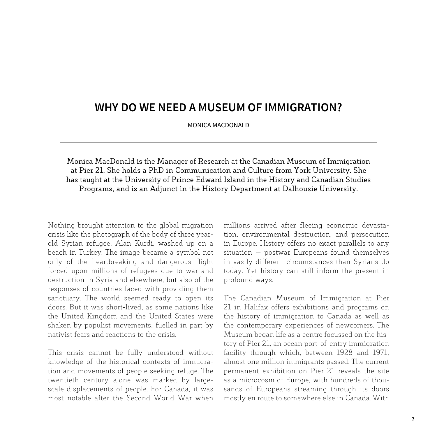## **Why Do We Need a Museum of Immigration?**

MONICA MACDONALD

Monica MacDonald is the Manager of Research at the Canadian Museum of Immigration at Pier 21. She holds a PhD in Communication and Culture from York University. She has taught at the University of Prince Edward Island in the History and Canadian Studies Programs, and is an Adjunct in the History Department at Dalhousie University.

Nothing brought attention to the global migration crisis like the photograph of the body of three yearold Syrian refugee, Alan Kurdi, washed up on a beach in Turkey. The image became a symbol not only of the heartbreaking and dangerous flight forced upon millions of refugees due to war and destruction in Syria and elsewhere, but also of the responses of countries faced with providing them sanctuary. The world seemed ready to open its doors. But it was short-lived, as some nations like the United Kingdom and the United States were shaken by populist movements, fuelled in part by nativist fears and reactions to the crisis.

This crisis cannot be fully understood without knowledge of the historical contexts of immigration and movements of people seeking refuge. The twentieth century alone was marked by largescale displacements of people. For Canada, it was most notable after the Second World War when millions arrived after fleeing economic devastation, environmental destruction, and persecution in Europe. History offers no exact parallels to any situation — postwar Europeans found themselves in vastly different circumstances than Syrians do today. Yet history can still inform the present in profound ways.

The Canadian Museum of Immigration at Pier 21 in Halifax offers exhibitions and programs on the history of immigration to Canada as well as the contemporary experiences of newcomers. The Museum began life as a centre focussed on the history of Pier 21, an ocean port-of-entry immigration facility through which, between 1928 and 1971, almost one million immigrants passed. The current permanent exhibition on Pier 21 reveals the site as a microcosm of Europe, with hundreds of thousands of Europeans streaming through its doors mostly en route to somewhere else in Canada. With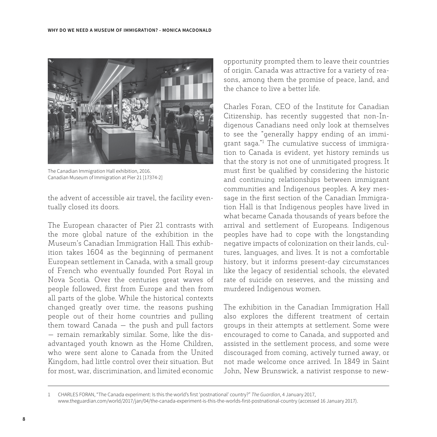

The Canadian Immigration Hall exhibition, 2016. Canadian Museum of Immigration at Pier 21 [17374-2]

the advent of accessible air travel, the facility eventually closed its doors.

The European character of Pier 21 contrasts with the more global nature of the exhibition in the Museum's Canadian Immigration Hall. This exhibition takes 1604 as the beginning of permanent European settlement in Canada, with a small group of French who eventually founded Port Royal in Nova Scotia. Over the centuries great waves of people followed, first from Europe and then from all parts of the globe. While the historical contexts changed greatly over time, the reasons pushing people out of their home countries and pulling them toward Canada — the push and pull factors — remain remarkably similar. Some, like the disadvantaged youth known as the Home Children, who were sent alone to Canada from the United Kingdom, had little control over their situation. But for most, war, discrimination, and limited economic opportunity prompted them to leave their countries of origin. Canada was attractive for a variety of reasons, among them the promise of peace, land, and the chance to live a better life.

Charles Foran, CEO of the Institute for Canadian Citizenship, has recently suggested that non-Indigenous Canadians need only look at themselves to see the "generally happy ending of an immigrant saga."1 The cumulative success of immigration to Canada is evident, yet history reminds us that the story is not one of unmitigated progress. It must first be qualified by considering the historic and continuing relationships between immigrant communities and Indigenous peoples. A key message in the first section of the Canadian Immigration Hall is that Indigenous peoples have lived in what became Canada thousands of years before the arrival and settlement of Europeans. Indigenous peoples have had to cope with the longstanding negative impacts of colonization on their lands, cultures, languages, and lives. It is not a comfortable history, but it informs present-day circumstances like the legacy of residential schools, the elevated rate of suicide on reserves, and the missing and murdered Indigenous women.

The exhibition in the Canadian Immigration Hall also explores the different treatment of certain groups in their attempts at settlement. Some were encouraged to come to Canada, and supported and assisted in the settlement process, and some were discouraged from coming, actively turned away, or not made welcome once arrived. In 1849 in Saint John, New Brunswick, a nativist response to new-

<sup>1</sup> Charles Foran, "The Canada experiment: Is this the world's first 'postnational' country?" *The Guardian*, 4 January 2017, www.theguardian.com/world/2017/jan/04/the-canada-experiment-is-this-the-worlds-first-postnational-country (accessed 16 January 2017).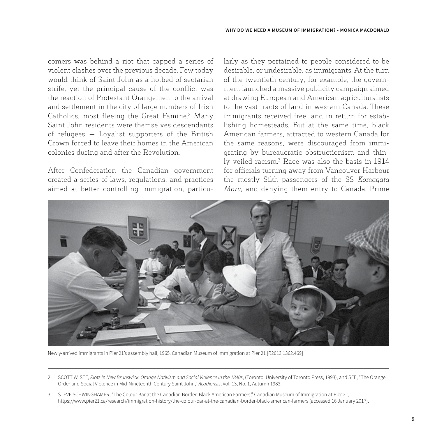comers was behind a riot that capped a series of violent clashes over the previous decade. Few today would think of Saint John as a hotbed of sectarian strife, yet the principal cause of the conflict was the reaction of Protestant Orangemen to the arrival and settlement in the city of large numbers of Irish Catholics, most fleeing the Great Famine.<sup>2</sup> Many Saint John residents were themselves descendants of refugees — Loyalist supporters of the British Crown forced to leave their homes in the American colonies during and after the Revolution.

After Confederation the Canadian government created a series of laws, regulations, and practices aimed at better controlling immigration, particularly as they pertained to people considered to be desirable, or undesirable, as immigrants. At the turn of the twentieth century, for example, the government launched a massive publicity campaign aimed at drawing European and American agriculturalists to the vast tracts of land in western Canada. These immigrants received free land in return for establishing homesteads. But at the same time, black American farmers, attracted to western Canada for the same reasons, were discouraged from immigrating by bureaucratic obstructionism and thinly-veiled racism.3 Race was also the basis in 1914 for officials turning away from Vancouver Harbour the mostly Sikh passengers of the SS *Komagata Maru*, and denying them entry to Canada. Prime



Newly-arrived immigrants in Pier 21's assembly hall, 1965. Canadian Museum of Immigration at Pier 21 [R2013.1362.469]

3 Steve Schwinghamer, "The Colour Bar at the Canadian Border: Black American Farmers," Canadian Museum of Immigration at Pier 21, https://www.pier21.ca/research/immigration-history/the-colour-bar-at-the-canadian-border-black-american-farmers (accessed 16 January 2017).

<sup>2</sup> Scott W. See, *Riots in New Brunswick: Orange Nativism and Social Violence in the 1840s*, (Toronto: University of Toronto Press, 1993), and See, "The Orange Order and Social Violence in Mid-Nineteenth Century Saint John," *Acadiensis*, Vol. 13, No. 1, Autumn 1983.